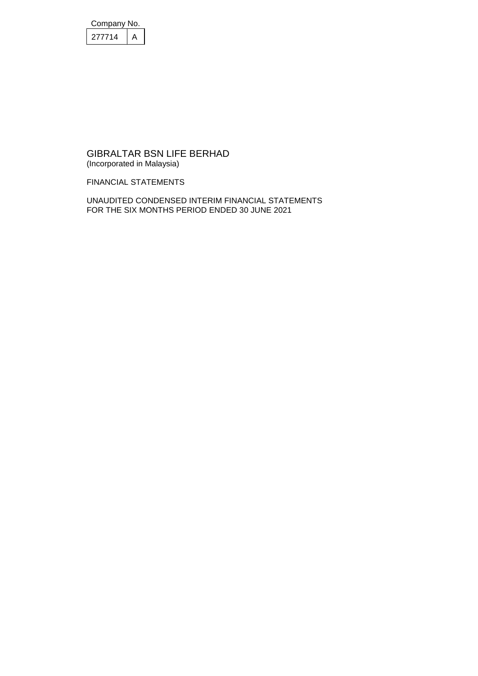| Company No. |  |  |
|-------------|--|--|
| 277714      |  |  |

FINANCIAL STATEMENTS

UNAUDITED CONDENSED INTERIM FINANCIAL STATEMENTS FOR THE SIX MONTHS PERIOD ENDED 30 JUNE 2021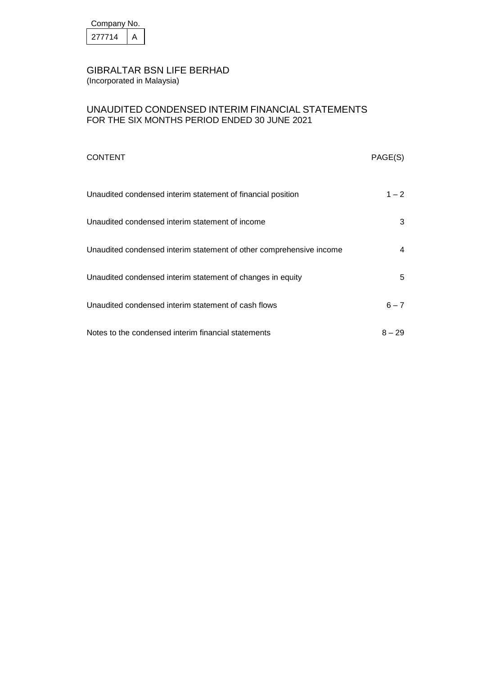| Company No. |  |  |
|-------------|--|--|
| 277714      |  |  |

### UNAUDITED CONDENSED INTERIM FINANCIAL STATEMENTS FOR THE SIX MONTHS PERIOD ENDED 30 JUNE 2021

| <b>CONTENT</b>                                                      | PAGE(S)  |
|---------------------------------------------------------------------|----------|
| Unaudited condensed interim statement of financial position         | $1 - 2$  |
| Unaudited condensed interim statement of income                     | 3        |
| Unaudited condensed interim statement of other comprehensive income | 4        |
| Unaudited condensed interim statement of changes in equity          | 5        |
| Unaudited condensed interim statement of cash flows                 | $6 - 7$  |
| Notes to the condensed interim financial statements                 | $8 - 29$ |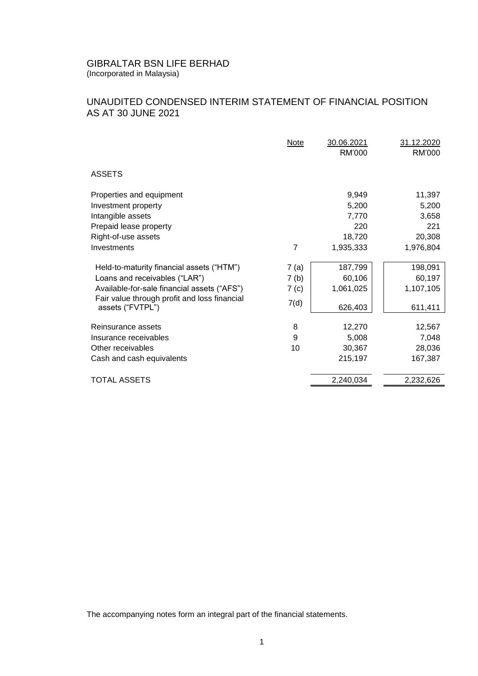## UNAUDITED CONDENSED INTERIM STATEMENT OF FINANCIAL POSITION AS AT 30 JUNE 2021

|                                                                  | Note             | 30.06.2021<br>RM'000 | 31.12.2020<br>RM'000 |
|------------------------------------------------------------------|------------------|----------------------|----------------------|
| <b>ASSETS</b>                                                    |                  |                      |                      |
| Properties and equipment                                         |                  | 9,949                | 11,397               |
| Investment property                                              |                  | 5,200                | 5,200                |
| Intangible assets                                                |                  | 7,770                | 3,658                |
| Prepaid lease property                                           |                  | 220                  | 221                  |
| Right-of-use assets                                              |                  | 18,720               | 20,308               |
| Investments                                                      | $\overline{7}$   | 1,935,333            | 1,976,804            |
| Held-to-maturity financial assets ("HTM")                        | 7(a)             | 187,799              | 198,091              |
| Loans and receivables ("LAR")                                    | 7 <sub>(b)</sub> | 60,106               | 60,197               |
| Available-for-sale financial assets ("AFS")                      | 7 <sub>(c)</sub> | 1,061,025            | 1,107,105            |
| Fair value through profit and loss financial<br>assets ("FVTPL") | 7(d)             | 626,403              | 611,411              |
| Reinsurance assets                                               | 8                | 12,270               | 12,567               |
| Insurance receivables                                            | 9                | 5,008                | 7,048                |
| Other receivables                                                | 10               | 30,367               | 28,036               |
| Cash and cash equivalents                                        |                  | 215,197              | 167,387              |
| <b>TOTAL ASSETS</b>                                              |                  | 2,240,034            | 2,232,626            |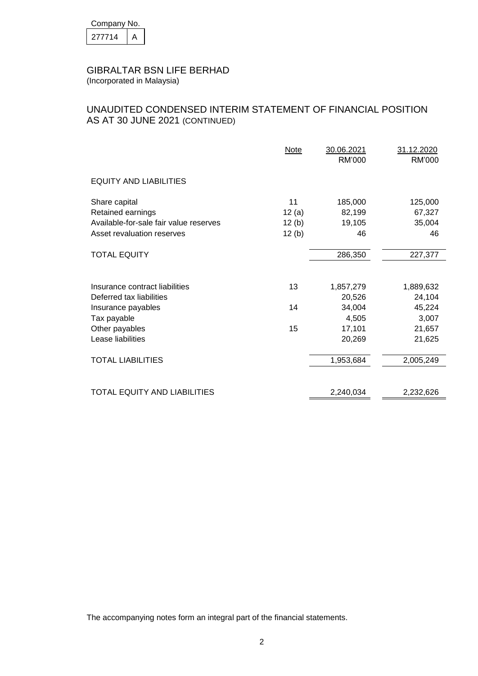| Company No. |  |  |
|-------------|--|--|
| 277714      |  |  |

## UNAUDITED CONDENSED INTERIM STATEMENT OF FINANCIAL POSITION AS AT 30 JUNE 2021 (CONTINUED)

|                                        | Note     | 30.06.2021<br><b>RM'000</b> | 31.12.2020<br>RM'000 |
|----------------------------------------|----------|-----------------------------|----------------------|
| <b>EQUITY AND LIABILITIES</b>          |          |                             |                      |
| Share capital                          | 11       | 185,000                     | 125,000              |
| Retained earnings                      | 12 $(a)$ | 82,199                      | 67,327               |
| Available-for-sale fair value reserves | 12(b)    | 19,105                      | 35,004               |
| Asset revaluation reserves             | 12(b)    | 46                          | 46                   |
| <b>TOTAL EQUITY</b>                    |          | 286,350                     | 227,377              |
|                                        |          |                             |                      |
| Insurance contract liabilities         | 13       | 1,857,279                   | 1,889,632            |
| Deferred tax liabilities               |          | 20,526                      | 24,104               |
| Insurance payables                     | 14       | 34,004                      | 45,224               |
| Tax payable                            |          | 4,505                       | 3,007                |
| Other payables                         | 15       | 17,101                      | 21,657               |
| Lease liabilities                      |          | 20,269                      | 21,625               |
| <b>TOTAL LIABILITIES</b>               |          | 1,953,684                   | 2,005,249            |
| TOTAL EQUITY AND LIABILITIES           |          | 2,240,034                   | 2,232,626            |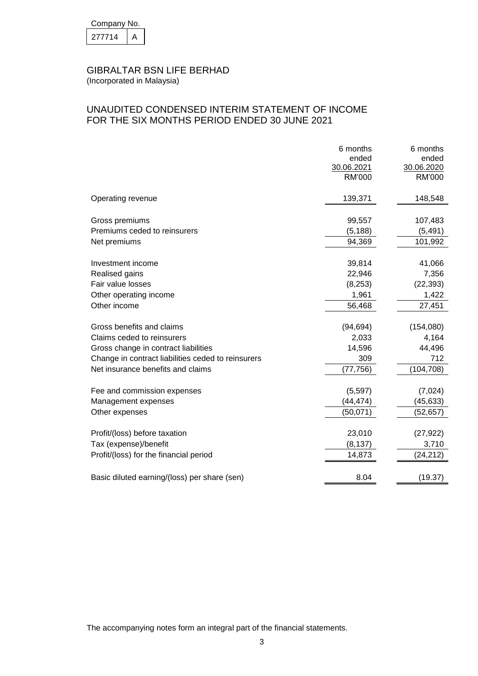| Company No. |  |  |
|-------------|--|--|
| 277714      |  |  |

## UNAUDITED CONDENSED INTERIM STATEMENT OF INCOME FOR THE SIX MONTHS PERIOD ENDED 30 JUNE 2021

|                                                    | 6 months<br>ended<br>30.06.2021<br>RM'000 | 6 months<br>ended<br>30.06.2020<br>RM'000 |
|----------------------------------------------------|-------------------------------------------|-------------------------------------------|
| Operating revenue                                  | 139,371                                   | 148,548                                   |
| Gross premiums                                     | 99,557                                    | 107,483                                   |
| Premiums ceded to reinsurers                       | (5, 188)                                  | (5, 491)                                  |
| Net premiums                                       | 94,369                                    | 101,992                                   |
|                                                    |                                           |                                           |
| Investment income                                  | 39,814                                    | 41,066                                    |
| Realised gains                                     | 22,946                                    | 7,356                                     |
| Fair value losses                                  | (8, 253)                                  | (22, 393)                                 |
| Other operating income                             | 1,961                                     | 1,422                                     |
| Other income                                       | 56,468                                    | 27,451                                    |
| Gross benefits and claims                          | (94, 694)                                 | (154,080)                                 |
| Claims ceded to reinsurers                         | 2,033                                     | 4,164                                     |
| Gross change in contract liabilities               | 14,596                                    | 44,496                                    |
| Change in contract liabilities ceded to reinsurers | 309                                       | 712                                       |
| Net insurance benefits and claims                  | (77, 756)                                 | (104, 708)                                |
|                                                    |                                           |                                           |
| Fee and commission expenses                        | (5,597)                                   | (7,024)                                   |
| Management expenses                                | (44, 474)<br>(50, 071)                    | (45, 633)                                 |
| Other expenses                                     |                                           | (52, 657)                                 |
| Profit/(loss) before taxation                      | 23,010                                    | (27, 922)                                 |
| Tax (expense)/benefit                              | (8, 137)                                  | 3,710                                     |
| Profit/(loss) for the financial period             | 14,873                                    | (24, 212)                                 |
| Basic diluted earning/(loss) per share (sen)       | 8.04                                      | (19.37)                                   |
|                                                    |                                           |                                           |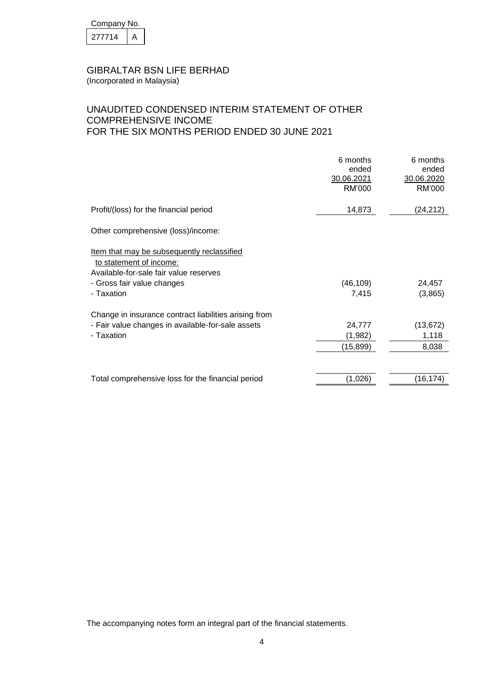| Company No. |  |  |
|-------------|--|--|
| 277714      |  |  |

## UNAUDITED CONDENSED INTERIM STATEMENT OF OTHER COMPREHENSIVE INCOME FOR THE SIX MONTHS PERIOD ENDED 30 JUNE 2021

|                                                                                                                                                             | 6 months<br>ended<br>30.06.2021<br>RM'000 | 6 months<br>ended<br>30.06.2020<br>RM'000 |
|-------------------------------------------------------------------------------------------------------------------------------------------------------------|-------------------------------------------|-------------------------------------------|
| Profit/(loss) for the financial period                                                                                                                      | 14,873                                    | (24,212)                                  |
| Other comprehensive (loss)/income:                                                                                                                          |                                           |                                           |
| Item that may be subsequently reclassified<br>to statement of income:<br>Available-for-sale fair value reserves<br>- Gross fair value changes<br>- Taxation | (46, 109)<br>7,415                        | 24,457<br>(3,865)                         |
| Change in insurance contract liabilities arising from<br>- Fair value changes in available-for-sale assets<br>- Taxation                                    | 24,777<br>(1,982)<br>(15, 899)            | (13, 672)<br>1,118<br>8,038               |
| Total comprehensive loss for the financial period                                                                                                           | (1,026)                                   | (16, 174)                                 |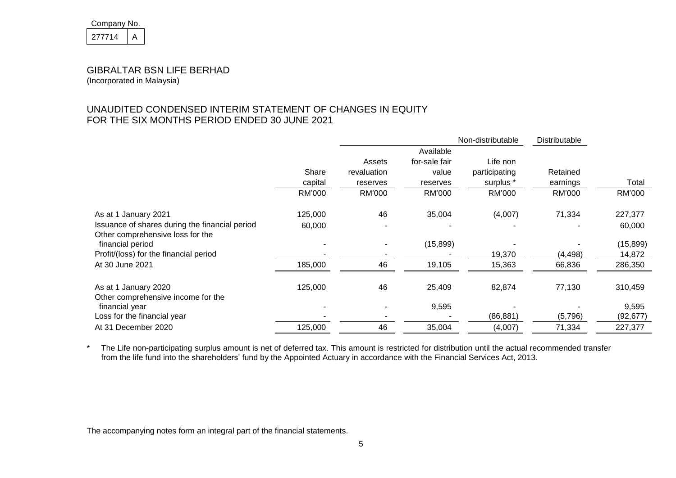| Company No. |  |  |
|-------------|--|--|
| 211714      |  |  |

(Incorporated in Malaysia)

## UNAUDITED CONDENSED INTERIM STATEMENT OF CHANGES IN EQUITY FOR THE SIX MONTHS PERIOD ENDED 30 JUNE 2021

|                                                                                    |         | Non-distributable |               |               | Distributable |           |
|------------------------------------------------------------------------------------|---------|-------------------|---------------|---------------|---------------|-----------|
|                                                                                    |         |                   | Available     |               |               |           |
|                                                                                    |         | Assets            | for-sale fair | Life non      |               |           |
|                                                                                    | Share   | revaluation       | value         | participating | Retained      |           |
|                                                                                    | capital | reserves          | reserves      | surplus *     | earnings      | Total     |
|                                                                                    | RM'000  | RM'000            | RM'000        | RM'000        | RM'000        | RM'000    |
| As at 1 January 2021                                                               | 125,000 | 46                | 35,004        | (4,007)       | 71,334        | 227,377   |
| Issuance of shares during the financial period<br>Other comprehensive loss for the | 60,000  |                   |               |               |               | 60,000    |
| financial period                                                                   |         |                   | (15, 899)     |               |               | (15, 899) |
| Profit/(loss) for the financial period                                             |         |                   |               | 19,370        | (4, 498)      | 14,872    |
| At 30 June 2021                                                                    | 185,000 | 46                | 19,105        | 15,363        | 66,836        | 286,350   |
| As at 1 January 2020<br>Other comprehensive income for the                         | 125,000 | 46                | 25,409        | 82,874        | 77,130        | 310,459   |
| financial year                                                                     |         |                   | 9,595         |               |               | 9,595     |
| Loss for the financial year                                                        |         |                   |               | (86, 881)     | (5,796)       | (92, 677) |
| At 31 December 2020                                                                | 125,000 | 46                | 35,004        | (4,007)       | 71,334        | 227,377   |

\* The Life non-participating surplus amount is net of deferred tax. This amount is restricted for distribution until the actual recommended transfer from the life fund into the shareholders' fund by the Appointed Actuary in accordance with the Financial Services Act, 2013.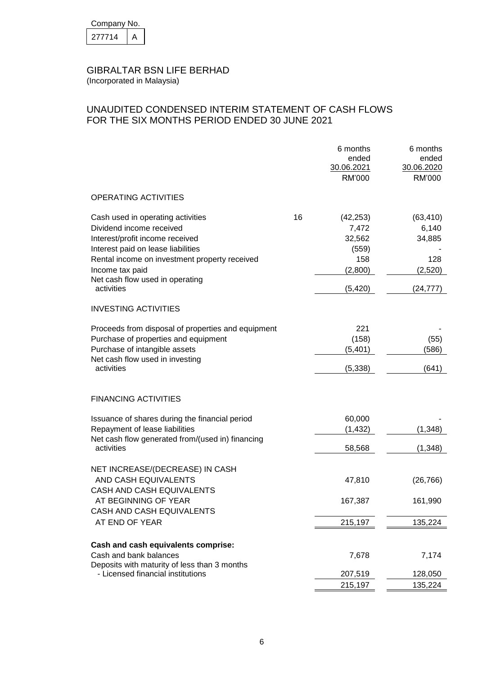| Company No. |  |
|-------------|--|
| 277714      |  |

## UNAUDITED CONDENSED INTERIM STATEMENT OF CASH FLOWS FOR THE SIX MONTHS PERIOD ENDED 30 JUNE 2021

|                                                                                                                                                                                                            |    | 6 months<br>ended<br>30.06.2021<br>RM'000               | 6 months<br>ended<br>30.06.2020<br>RM'000      |
|------------------------------------------------------------------------------------------------------------------------------------------------------------------------------------------------------------|----|---------------------------------------------------------|------------------------------------------------|
| <b>OPERATING ACTIVITIES</b>                                                                                                                                                                                |    |                                                         |                                                |
| Cash used in operating activities<br>Dividend income received<br>Interest/profit income received<br>Interest paid on lease liabilities<br>Rental income on investment property received<br>Income tax paid | 16 | (42, 253)<br>7,472<br>32,562<br>(559)<br>158<br>(2,800) | (63, 410)<br>6,140<br>34,885<br>128<br>(2,520) |
| Net cash flow used in operating<br>activities                                                                                                                                                              |    | (5, 420)                                                | (24, 777)                                      |
| <b>INVESTING ACTIVITIES</b>                                                                                                                                                                                |    |                                                         |                                                |
| Proceeds from disposal of properties and equipment<br>Purchase of properties and equipment<br>Purchase of intangible assets<br>Net cash flow used in investing<br>activities                               |    | 221<br>(158)<br>(5, 401)<br>(5, 338)                    | (55)<br>(586)<br>(641)                         |
| <b>FINANCING ACTIVITIES</b>                                                                                                                                                                                |    |                                                         |                                                |
| Issuance of shares during the financial period<br>Repayment of lease liabilities<br>Net cash flow generated from/(used in) financing<br>activities                                                         |    | 60,000<br>(1, 432)                                      | (1, 348)                                       |
|                                                                                                                                                                                                            |    | 58,568                                                  | (1, 348)                                       |
| NET INCREASE/(DECREASE) IN CASH<br>AND CASH EQUIVALENTS<br>CASH AND CASH EQUIVALENTS                                                                                                                       |    | 47,810                                                  | (26, 766)                                      |
| AT BEGINNING OF YEAR<br>CASH AND CASH EQUIVALENTS                                                                                                                                                          |    | 167,387                                                 | 161,990                                        |
| AT END OF YEAR                                                                                                                                                                                             |    | 215,197                                                 | 135,224                                        |
| Cash and cash equivalents comprise:<br>Cash and bank balances<br>Deposits with maturity of less than 3 months                                                                                              |    | 7,678                                                   | 7,174                                          |
| - Licensed financial institutions                                                                                                                                                                          |    | 207,519<br>215,197                                      | 128,050<br>135,224                             |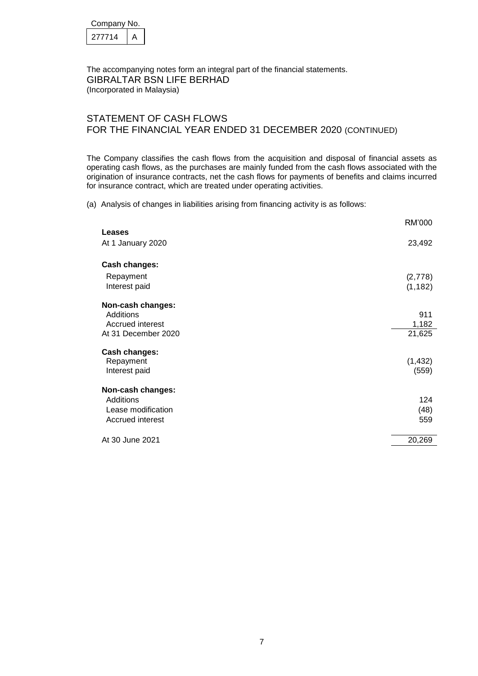| Company No. |  |  |
|-------------|--|--|
| 277714      |  |  |

The accompanying notes form an integral part of the financial statements. GIBRALTAR BSN LIFE BERHAD (Incorporated in Malaysia)

### STATEMENT OF CASH FLOWS FOR THE FINANCIAL YEAR ENDED 31 DECEMBER 2020 (CONTINUED)

The Company classifies the cash flows from the acquisition and disposal of financial assets as operating cash flows, as the purchases are mainly funded from the cash flows associated with the origination of insurance contracts, net the cash flows for payments of benefits and claims incurred for insurance contract, which are treated under operating activities.

(a) Analysis of changes in liabilities arising from financing activity is as follows:

|                                                                           | RM'000                 |
|---------------------------------------------------------------------------|------------------------|
| <b>Leases</b><br>At 1 January 2020                                        | 23,492                 |
| Cash changes:<br>Repayment<br>Interest paid                               | (2,778)<br>(1, 182)    |
| Non-cash changes:<br>Additions<br>Accrued interest<br>At 31 December 2020 | 911<br>1,182<br>21,625 |
| Cash changes:<br>Repayment<br>Interest paid                               | (1, 432)<br>(559)      |
| Non-cash changes:<br>Additions<br>Lease modification<br>Accrued interest  | 124<br>(48)<br>559     |
| At 30 June 2021                                                           | 20,269                 |
|                                                                           |                        |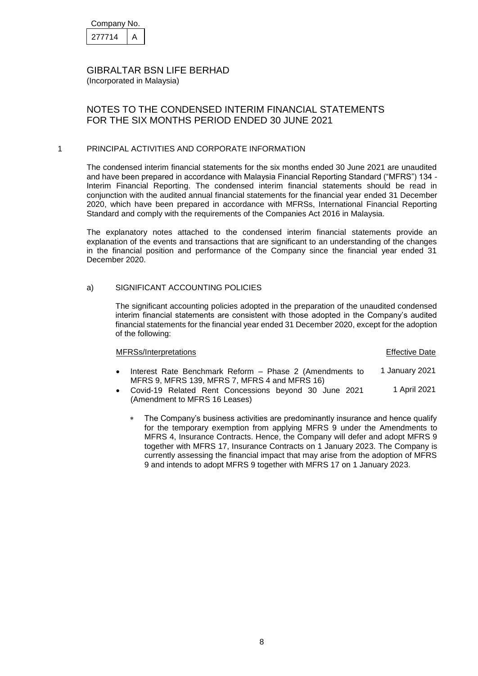| Company No. |  |  |
|-------------|--|--|
| 277714      |  |  |

### NOTES TO THE CONDENSED INTERIM FINANCIAL STATEMENTS FOR THE SIX MONTHS PERIOD ENDED 30 JUNE 2021

#### 1 PRINCIPAL ACTIVITIES AND CORPORATE INFORMATION

The condensed interim financial statements for the six months ended 30 June 2021 are unaudited and have been prepared in accordance with Malaysia Financial Reporting Standard ("MFRS") 134 - Interim Financial Reporting. The condensed interim financial statements should be read in conjunction with the audited annual financial statements for the financial year ended 31 December 2020, which have been prepared in accordance with MFRSs, International Financial Reporting Standard and comply with the requirements of the Companies Act 2016 in Malaysia.

The explanatory notes attached to the condensed interim financial statements provide an explanation of the events and transactions that are significant to an understanding of the changes in the financial position and performance of the Company since the financial year ended 31 December 2020.

#### a) SIGNIFICANT ACCOUNTING POLICIES

The significant accounting policies adopted in the preparation of the unaudited condensed interim financial statements are consistent with those adopted in the Company's audited financial statements for the financial year ended 31 December 2020, except for the adoption of the following:

| MFRSs/Interpretations                                   | <b>Effective Date</b> |
|---------------------------------------------------------|-----------------------|
| Interest Rate Benchmark Reform – Phase 2 (Amendments to | 1 January 2021        |

- MFRS 9, MFRS 139, MFRS 7, MFRS 4 and MFRS 16)
- Covid-19 Related Rent Concessions beyond 30 June 2021 (Amendment to MFRS 16 Leases) 1 April 2021
	- The Company's business activities are predominantly insurance and hence qualify for the temporary exemption from applying MFRS 9 under the Amendments to MFRS 4, Insurance Contracts. Hence, the Company will defer and adopt MFRS 9 together with MFRS 17, Insurance Contracts on 1 January 2023. The Company is currently assessing the financial impact that may arise from the adoption of MFRS 9 and intends to adopt MFRS 9 together with MFRS 17 on 1 January 2023.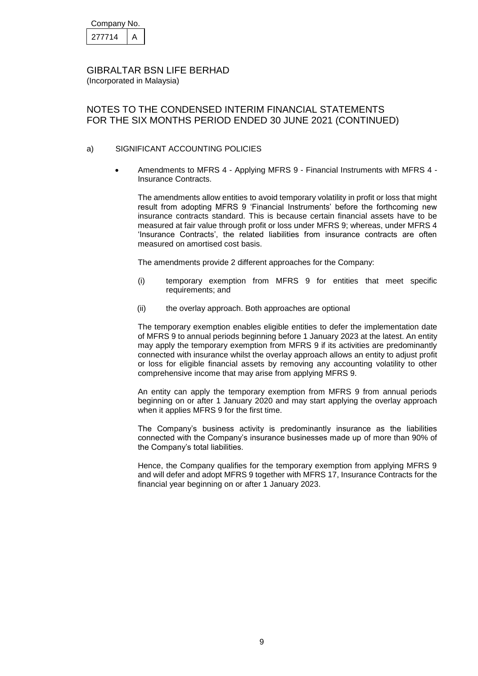| Company No. |  |
|-------------|--|
| 277714      |  |

## NOTES TO THE CONDENSED INTERIM FINANCIAL STATEMENTS FOR THE SIX MONTHS PERIOD ENDED 30 JUNE 2021 (CONTINUED)

#### a) SIGNIFICANT ACCOUNTING POLICIES

 Amendments to MFRS 4 - Applying MFRS 9 - Financial Instruments with MFRS 4 - Insurance Contracts.

The amendments allow entities to avoid temporary volatility in profit or loss that might result from adopting MFRS 9 'Financial Instruments' before the forthcoming new insurance contracts standard. This is because certain financial assets have to be measured at fair value through profit or loss under MFRS 9; whereas, under MFRS 4 'Insurance Contracts', the related liabilities from insurance contracts are often measured on amortised cost basis.

The amendments provide 2 different approaches for the Company:

- (i) temporary exemption from MFRS 9 for entities that meet specific requirements; and
- (ii) the overlay approach. Both approaches are optional

The temporary exemption enables eligible entities to defer the implementation date of MFRS 9 to annual periods beginning before 1 January 2023 at the latest. An entity may apply the temporary exemption from MFRS 9 if its activities are predominantly connected with insurance whilst the overlay approach allows an entity to adjust profit or loss for eligible financial assets by removing any accounting volatility to other comprehensive income that may arise from applying MFRS 9.

An entity can apply the temporary exemption from MFRS 9 from annual periods beginning on or after 1 January 2020 and may start applying the overlay approach when it applies MFRS 9 for the first time.

The Company's business activity is predominantly insurance as the liabilities connected with the Company's insurance businesses made up of more than 90% of the Company's total liabilities.

Hence, the Company qualifies for the temporary exemption from applying MFRS 9 and will defer and adopt MFRS 9 together with MFRS 17, Insurance Contracts for the financial year beginning on or after 1 January 2023.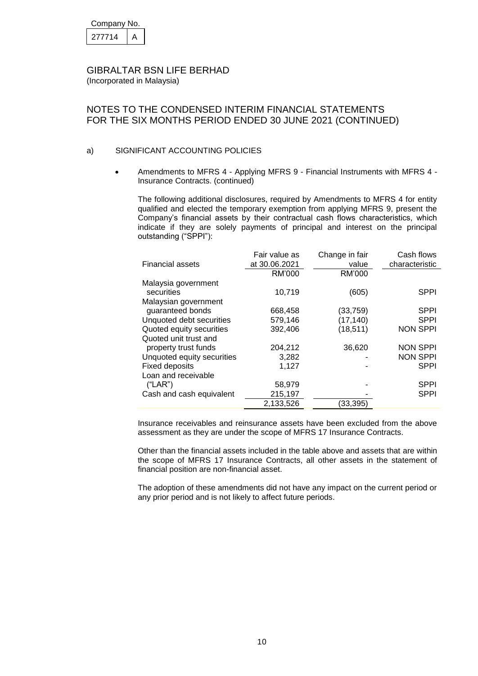| Company No. |  |
|-------------|--|
| 277714      |  |

## NOTES TO THE CONDENSED INTERIM FINANCIAL STATEMENTS FOR THE SIX MONTHS PERIOD ENDED 30 JUNE 2021 (CONTINUED)

#### a) SIGNIFICANT ACCOUNTING POLICIES

 Amendments to MFRS 4 - Applying MFRS 9 - Financial Instruments with MFRS 4 - Insurance Contracts. (continued)

The following additional disclosures, required by Amendments to MFRS 4 for entity qualified and elected the temporary exemption from applying MFRS 9, present the Company's financial assets by their contractual cash flows characteristics, which indicate if they are solely payments of principal and interest on the principal outstanding ("SPPI"):

|                            | Fair value as | Change in fair | Cash flows      |
|----------------------------|---------------|----------------|-----------------|
| <b>Financial assets</b>    | at 30.06.2021 | value          | characteristic  |
|                            | RM'000        | RM'000         |                 |
| Malaysia government        |               |                |                 |
| securities                 | 10,719        | (605)          | <b>SPPI</b>     |
| Malaysian government       |               |                |                 |
| quaranteed bonds           | 668,458       | (33,759)       | <b>SPPI</b>     |
| Unquoted debt securities   | 579,146       | (17, 140)      | <b>SPPI</b>     |
| Quoted equity securities   | 392,406       | (18, 511)      | <b>NON SPPI</b> |
| Quoted unit trust and      |               |                |                 |
| property trust funds       | 204,212       | 36,620         | <b>NON SPPI</b> |
| Unquoted equity securities | 3,282         |                | <b>NON SPPI</b> |
| <b>Fixed deposits</b>      | 1.127         |                | <b>SPPI</b>     |
| Loan and receivable        |               |                |                 |
| ("LAR")                    | 58,979        |                | <b>SPPI</b>     |
| Cash and cash equivalent   | 215,197       |                | <b>SPPI</b>     |
|                            | 2.133.526     | (33.395)       |                 |

Insurance receivables and reinsurance assets have been excluded from the above assessment as they are under the scope of MFRS 17 Insurance Contracts.

Other than the financial assets included in the table above and assets that are within the scope of MFRS 17 Insurance Contracts, all other assets in the statement of financial position are non-financial asset.

The adoption of these amendments did not have any impact on the current period or any prior period and is not likely to affect future periods.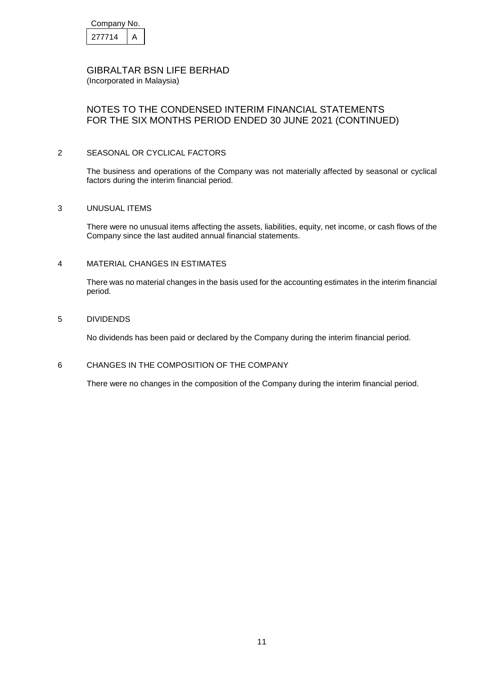| Company No. |  |  |
|-------------|--|--|
| 277714      |  |  |

## NOTES TO THE CONDENSED INTERIM FINANCIAL STATEMENTS FOR THE SIX MONTHS PERIOD ENDED 30 JUNE 2021 (CONTINUED)

#### 2 SEASONAL OR CYCLICAL FACTORS

The business and operations of the Company was not materially affected by seasonal or cyclical factors during the interim financial period.

#### 3 UNUSUAL ITEMS

There were no unusual items affecting the assets, liabilities, equity, net income, or cash flows of the Company since the last audited annual financial statements.

#### 4 MATERIAL CHANGES IN ESTIMATES

There was no material changes in the basis used for the accounting estimates in the interim financial period.

#### 5 DIVIDENDS

No dividends has been paid or declared by the Company during the interim financial period.

### 6 CHANGES IN THE COMPOSITION OF THE COMPANY

There were no changes in the composition of the Company during the interim financial period.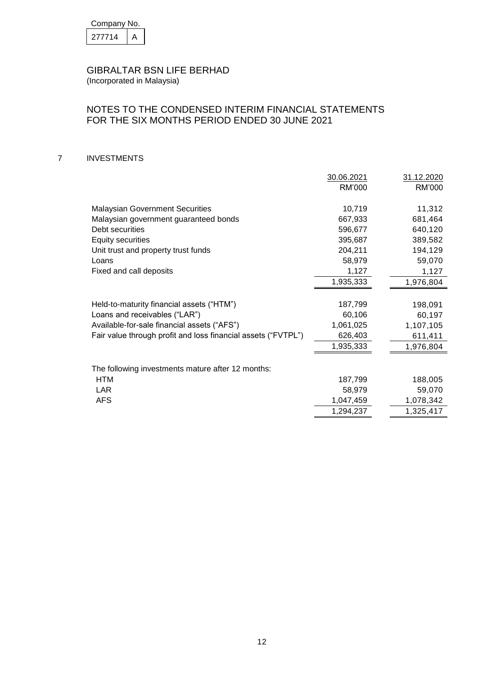| Company No. |  |
|-------------|--|
| 277714      |  |

## NOTES TO THE CONDENSED INTERIM FINANCIAL STATEMENTS FOR THE SIX MONTHS PERIOD ENDED 30 JUNE 2021

### 7 INVESTMENTS

|                                                               | 30.06.2021    | 31.12.2020 |
|---------------------------------------------------------------|---------------|------------|
|                                                               | <b>RM'000</b> | RM'000     |
|                                                               |               |            |
| <b>Malaysian Government Securities</b>                        | 10,719        | 11,312     |
| Malaysian government guaranteed bonds                         | 667,933       | 681,464    |
| Debt securities                                               | 596,677       | 640,120    |
| <b>Equity securities</b>                                      | 395,687       | 389,582    |
| Unit trust and property trust funds                           | 204,211       | 194,129    |
| Loans                                                         | 58,979        | 59,070     |
| Fixed and call deposits                                       | 1,127         | 1,127      |
|                                                               | 1,935,333     | 1,976,804  |
|                                                               |               |            |
| Held-to-maturity financial assets ("HTM")                     | 187,799       | 198,091    |
| Loans and receivables ("LAR")                                 | 60,106        | 60,197     |
| Available-for-sale financial assets ("AFS")                   | 1,061,025     | 1,107,105  |
| Fair value through profit and loss financial assets ("FVTPL") | 626,403       | 611,411    |
|                                                               | 1,935,333     | 1,976,804  |
|                                                               |               |            |
| The following investments mature after 12 months:             |               |            |
| <b>HTM</b>                                                    | 187,799       | 188,005    |
| <b>LAR</b>                                                    | 58,979        | 59,070     |
| <b>AFS</b>                                                    | 1,047,459     | 1,078,342  |
|                                                               | 1,294,237     | 1,325,417  |
|                                                               |               |            |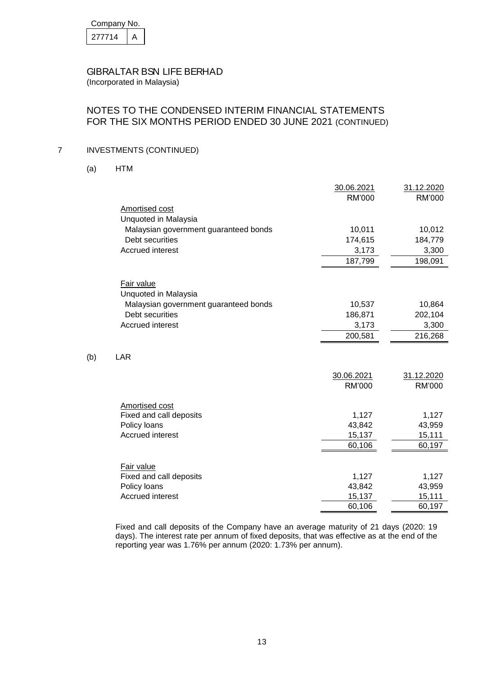| Company No. |  |  |
|-------------|--|--|
| 277714      |  |  |

(Incorporated in Malaysia)

## NOTES TO THE CONDENSED INTERIM FINANCIAL STATEMENTS FOR THE SIX MONTHS PERIOD ENDED 30 JUNE 2021 (CONTINUED)

### 7 INVESTMENTS (CONTINUED)

(a) HTM

 $(b)$ 

|                                       | 30.06.2021    | 31.12.2020    |
|---------------------------------------|---------------|---------------|
|                                       | RM'000        | RM'000        |
| Amortised cost                        |               |               |
| Unquoted in Malaysia                  |               |               |
| Malaysian government guaranteed bonds | 10,011        | 10,012        |
| Debt securities                       | 174,615       | 184,779       |
| <b>Accrued interest</b>               | 3,173         | 3,300         |
|                                       | 187,799       | 198,091       |
|                                       |               |               |
| Fair value                            |               |               |
| Unquoted in Malaysia                  |               |               |
| Malaysian government guaranteed bonds | 10,537        | 10,864        |
| Debt securities                       | 186,871       | 202,104       |
| Accrued interest                      | 3,173         | 3,300         |
|                                       | 200,581       | 216,268       |
|                                       |               |               |
| LAR                                   |               |               |
|                                       | 30.06.2021    | 31.12.2020    |
|                                       | <b>RM'000</b> | <b>RM'000</b> |
|                                       |               |               |
| Amortised cost                        |               |               |
| Fixed and call deposits               | 1,127         | 1,127         |
| Policy loans                          | 43,842        | 43,959        |
| <b>Accrued interest</b>               | 15,137        | 15,111        |
|                                       | 60,106        | 60,197        |
|                                       |               |               |
| Fair value                            |               |               |
| Fixed and call deposits               | 1,127         | 1,127         |
| Policy loans                          | 43,842        | 43,959        |
| <b>Accrued interest</b>               | 15,137        | 15,111        |
|                                       | 60,106        | 60,197        |

Fixed and call deposits of the Company have an average maturity of 21 days (2020: 19 days). The interest rate per annum of fixed deposits, that was effective as at the end of the reporting year was 1.76% per annum (2020: 1.73% per annum).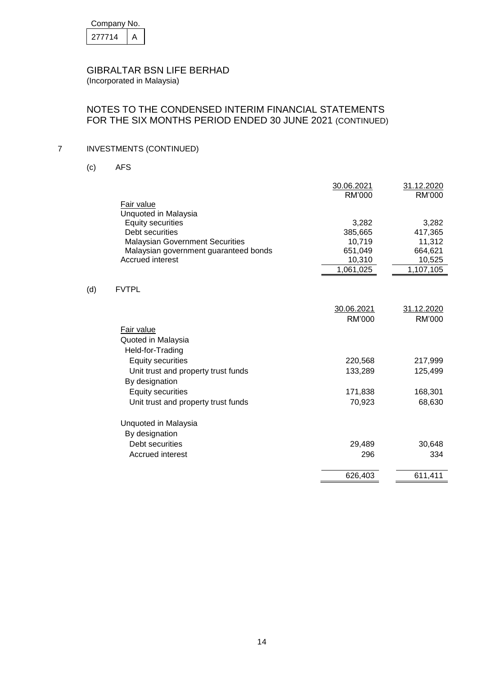| Company No. |  |  |
|-------------|--|--|
| 277714      |  |  |

### NOTES TO THE CONDENSED INTERIM FINANCIAL STATEMENTS FOR THE SIX MONTHS PERIOD ENDED 30 JUNE 2021 (CONTINUED)

## 7 INVESTMENTS (CONTINUED)

(c) AFS

 $(d)$ 

|                                        | 30.06.2021 | 31.12.2020    |
|----------------------------------------|------------|---------------|
|                                        | RM'000     | RM'000        |
| Fair value                             |            |               |
| Unquoted in Malaysia                   |            |               |
| <b>Equity securities</b>               | 3,282      | 3,282         |
| Debt securities                        | 385,665    | 417,365       |
| <b>Malaysian Government Securities</b> | 10,719     | 11,312        |
| Malaysian government guaranteed bonds  | 651,049    | 664,621       |
| <b>Accrued interest</b>                | 10,310     | 10,525        |
|                                        | 1,061,025  | 1,107,105     |
|                                        |            |               |
| <b>FVTPL</b>                           |            |               |
|                                        |            |               |
|                                        | 30.06.2021 | 31.12.2020    |
|                                        | RM'000     | <b>RM'000</b> |
| Fair value                             |            |               |
| Quoted in Malaysia                     |            |               |
| Held-for-Trading                       |            |               |
| <b>Equity securities</b>               | 220,568    | 217,999       |
| Unit trust and property trust funds    | 133,289    | 125,499       |
| By designation                         |            |               |
| <b>Equity securities</b>               | 171,838    | 168,301       |
| Unit trust and property trust funds    | 70,923     | 68,630        |
|                                        |            |               |
| Unquoted in Malaysia                   |            |               |
| By designation                         |            |               |
| Debt securities                        | 29,489     | 30,648        |
| Accrued interest                       | 296        | 334           |
|                                        |            |               |
|                                        | 626,403    | 611,411       |
|                                        |            |               |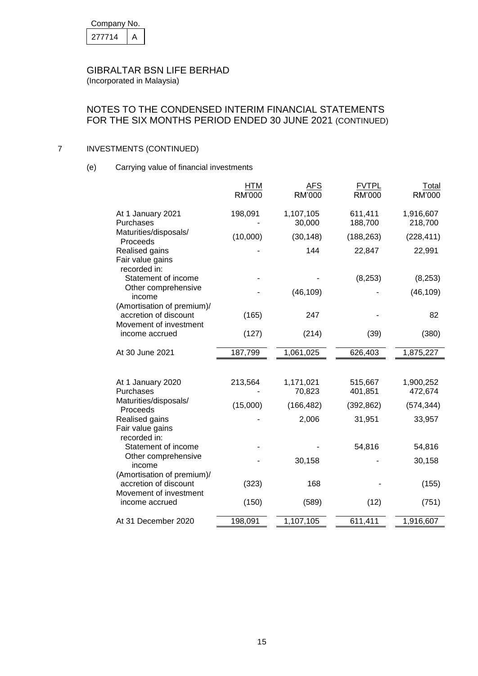| Company No. |  |  |
|-------------|--|--|
| 277714      |  |  |

### NOTES TO THE CONDENSED INTERIM FINANCIAL STATEMENTS FOR THE SIX MONTHS PERIOD ENDED 30 JUNE 2021 (CONTINUED)

## 7 INVESTMENTS (CONTINUED)

(e) Carrying value of financial investments

|                                                                               | <b>HTM</b><br>RM'000 | <u>AFS</u><br><b>RM'000</b> | <b>FVTPL</b><br>RM'000 | Total<br>RM'000      |
|-------------------------------------------------------------------------------|----------------------|-----------------------------|------------------------|----------------------|
| At 1 January 2021<br>Purchases                                                | 198,091              | 1,107,105<br>30,000         | 611,411<br>188,700     | 1,916,607<br>218,700 |
| Maturities/disposals/<br>Proceeds                                             | (10,000)             | (30, 148)                   | (188, 263)             | (228, 411)           |
| Realised gains<br>Fair value gains<br>recorded in:                            |                      | 144                         | 22,847                 | 22,991               |
| Statement of income                                                           |                      |                             | (8, 253)               | (8, 253)             |
| Other comprehensive<br>income                                                 |                      | (46, 109)                   |                        | (46, 109)            |
| (Amortisation of premium)/<br>accretion of discount<br>Movement of investment | (165)                | 247                         |                        | 82                   |
| income accrued                                                                | (127)                | (214)                       | (39)                   | (380)                |
| At 30 June 2021                                                               | 187,799              | 1,061,025                   | 626,403                | 1,875,227            |
|                                                                               |                      |                             |                        |                      |
| At 1 January 2020<br>Purchases                                                | 213,564              | 1,171,021<br>70,823         | 515,667<br>401,851     | 1,900,252<br>472,674 |
| Maturities/disposals/<br>Proceeds                                             | (15,000)             | (166, 482)                  | (392, 862)             | (574, 344)           |
| Realised gains<br>Fair value gains<br>recorded in:                            |                      | 2,006                       | 31,951                 | 33,957               |
| Statement of income                                                           |                      |                             | 54,816                 | 54,816               |
| Other comprehensive<br>income                                                 |                      | 30,158                      |                        | 30,158               |
| (Amortisation of premium)/<br>accretion of discount<br>Movement of investment | (323)                | 168                         |                        | (155)                |
| income accrued                                                                | (150)                | (589)                       | (12)                   | (751)                |
| At 31 December 2020                                                           | 198,091              | 1,107,105                   | 611,411                | 1,916,607            |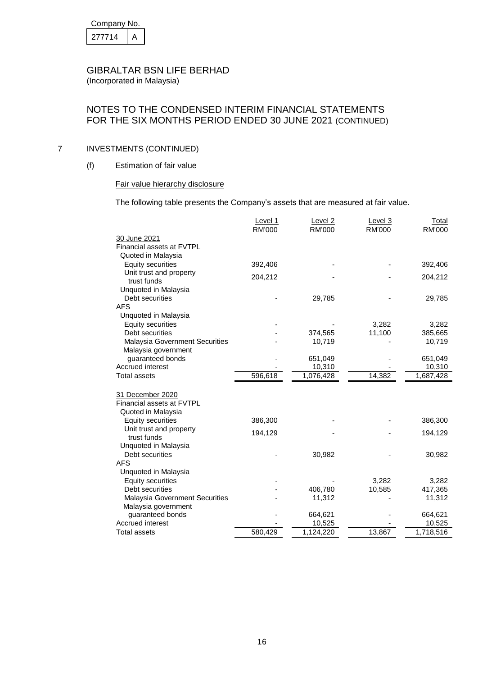| Company No. |  |  |
|-------------|--|--|
| 277714      |  |  |

### NOTES TO THE CONDENSED INTERIM FINANCIAL STATEMENTS FOR THE SIX MONTHS PERIOD ENDED 30 JUNE 2021 (CONTINUED)

### 7 INVESTMENTS (CONTINUED)

(f) Estimation of fair value

### Fair value hierarchy disclosure

The following table presents the Company's assets that are measured at fair value.

|                                       | Level 1       | Level <sub>2</sub> | Level 3 | <b>Total</b> |
|---------------------------------------|---------------|--------------------|---------|--------------|
|                                       | <b>RM'000</b> | <b>RM'000</b>      | RM'000  | RM'000       |
| 30 June 2021                          |               |                    |         |              |
| Financial assets at FVTPL             |               |                    |         |              |
| Quoted in Malaysia                    |               |                    |         |              |
| <b>Equity securities</b>              | 392,406       |                    |         | 392,406      |
| Unit trust and property               | 204,212       |                    |         | 204,212      |
| trust funds                           |               |                    |         |              |
| Unquoted in Malaysia                  |               |                    |         |              |
| Debt securities                       |               | 29,785             |         | 29,785       |
| <b>AFS</b>                            |               |                    |         |              |
| Unquoted in Malaysia                  |               |                    |         |              |
| <b>Equity securities</b>              |               |                    | 3,282   | 3,282        |
| Debt securities                       |               | 374,565            | 11,100  | 385,665      |
| <b>Malaysia Government Securities</b> |               | 10,719             |         | 10,719       |
| Malaysia government                   |               |                    |         |              |
| quaranteed bonds                      |               | 651,049            |         | 651,049      |
| Accrued interest                      |               | 10,310             |         | 10,310       |
| <b>Total assets</b>                   | 596,618       | 1,076,428          | 14,382  | 1,687,428    |
| 31 December 2020                      |               |                    |         |              |
| Financial assets at FVTPL             |               |                    |         |              |
| Quoted in Malaysia                    |               |                    |         |              |
| <b>Equity securities</b>              | 386,300       |                    |         | 386,300      |
| Unit trust and property               |               |                    |         |              |
| trust funds                           | 194,129       |                    |         | 194,129      |
| Unquoted in Malaysia                  |               |                    |         |              |
| Debt securities                       |               | 30,982             |         | 30,982       |
| <b>AFS</b>                            |               |                    |         |              |
| Unquoted in Malaysia                  |               |                    |         |              |
| <b>Equity securities</b>              |               |                    | 3,282   | 3,282        |
| Debt securities                       |               | 406,780            | 10,585  | 417,365      |
| <b>Malaysia Government Securities</b> |               | 11,312             |         | 11,312       |
| Malaysia government                   |               |                    |         |              |
| guaranteed bonds                      |               | 664,621            |         | 664,621      |
| Accrued interest                      |               | 10,525             |         | 10,525       |
| Total assets                          | 580,429       | 1,124,220          | 13,867  | 1,718,516    |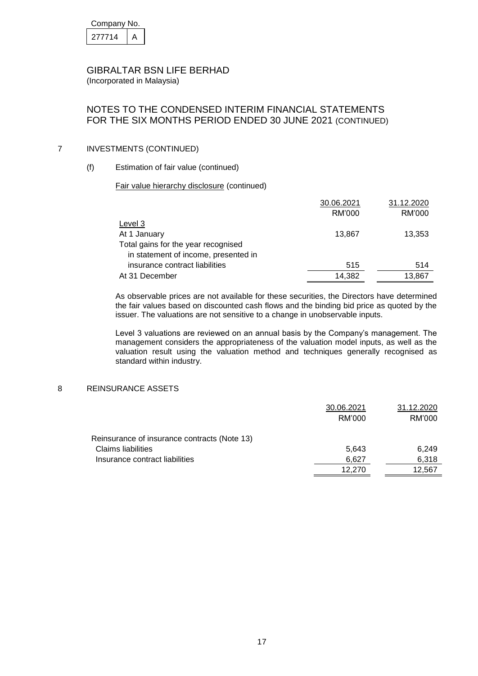| Company No. |  |  |
|-------------|--|--|
| 277714      |  |  |

## NOTES TO THE CONDENSED INTERIM FINANCIAL STATEMENTS FOR THE SIX MONTHS PERIOD ENDED 30 JUNE 2021 (CONTINUED)

#### 7 INVESTMENTS (CONTINUED)

#### (f) Estimation of fair value (continued)

Fair value hierarchy disclosure (continued)

|                                      | 30.06.2021 | 31.12.2020 |
|--------------------------------------|------------|------------|
|                                      | RM'000     | RM'000     |
| Level 3                              |            |            |
| At 1 January                         | 13.867     | 13,353     |
| Total gains for the year recognised  |            |            |
| in statement of income, presented in |            |            |
| insurance contract liabilities       | 515        | 514        |
| At 31 December                       | 14,382     | 13.867     |

As observable prices are not available for these securities, the Directors have determined the fair values based on discounted cash flows and the binding bid price as quoted by the issuer. The valuations are not sensitive to a change in unobservable inputs.

Level 3 valuations are reviewed on an annual basis by the Company's management. The management considers the appropriateness of the valuation model inputs, as well as the valuation result using the valuation method and techniques generally recognised as standard within industry.

#### 8 REINSURANCE ASSETS

|                                              | 30.06.2021 | 31.12.2020 |
|----------------------------------------------|------------|------------|
|                                              | RM'000     | RM'000     |
| Reinsurance of insurance contracts (Note 13) |            |            |
| Claims liabilities                           | 5,643      | 6.249      |
| Insurance contract liabilities               | 6,627      | 6,318      |
|                                              | 12.270     | 12.567     |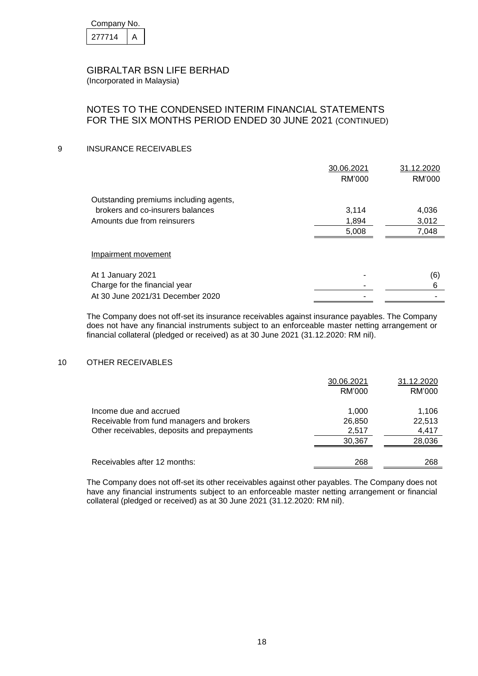| Company No. |  |  |
|-------------|--|--|
| 277714      |  |  |

## NOTES TO THE CONDENSED INTERIM FINANCIAL STATEMENTS FOR THE SIX MONTHS PERIOD ENDED 30 JUNE 2021 (CONTINUED)

#### 9 INSURANCE RECEIVABLES

|                                        | 30.06.2021 | 31.12.2020 |
|----------------------------------------|------------|------------|
|                                        | RM'000     | RM'000     |
| Outstanding premiums including agents, |            |            |
| brokers and co-insurers balances       | 3,114      | 4,036      |
| Amounts due from reinsurers            | 1,894      | 3,012      |
|                                        | 5,008      | 7,048      |
| Impairment movement                    |            |            |
| At 1 January 2021                      |            | (6)        |
| Charge for the financial year          |            | 6          |
| At 30 June 2021/31 December 2020       |            |            |

The Company does not off-set its insurance receivables against insurance payables. The Company does not have any financial instruments subject to an enforceable master netting arrangement or financial collateral (pledged or received) as at 30 June 2021 (31.12.2020: RM nil).

#### 10 OTHER RECEIVABLES

|                                                                                                                    | 30.06.2021<br>RM'000               | 31.12.2020<br>RM'000               |
|--------------------------------------------------------------------------------------------------------------------|------------------------------------|------------------------------------|
| Income due and accrued<br>Receivable from fund managers and brokers<br>Other receivables, deposits and prepayments | 1.000<br>26,850<br>2,517<br>30,367 | 1.106<br>22,513<br>4,417<br>28,036 |
| Receivables after 12 months:                                                                                       | 268                                | 268                                |

The Company does not off-set its other receivables against other payables. The Company does not have any financial instruments subject to an enforceable master netting arrangement or financial collateral (pledged or received) as at 30 June 2021 (31.12.2020: RM nil).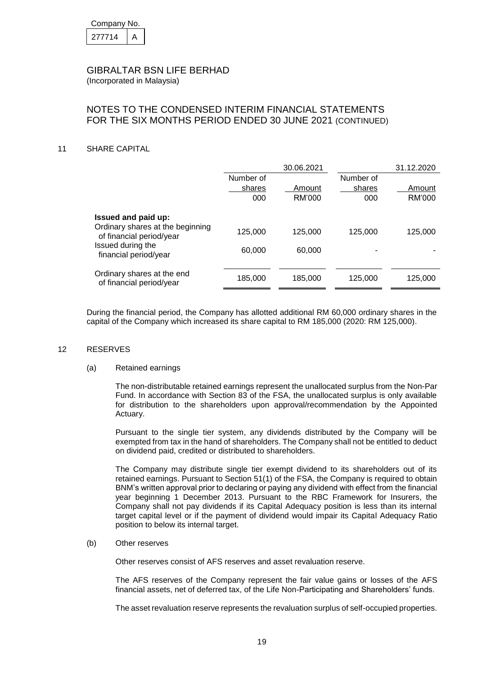| Company No. |  |  |  |  |
|-------------|--|--|--|--|
| 277714      |  |  |  |  |

## NOTES TO THE CONDENSED INTERIM FINANCIAL STATEMENTS FOR THE SIX MONTHS PERIOD ENDED 30 JUNE 2021 (CONTINUED)

#### 11 SHARE CAPITAL

|                                                         |                            | 30.06.2021       |                            | 31.12.2020       |
|---------------------------------------------------------|----------------------------|------------------|----------------------------|------------------|
|                                                         | Number of<br>shares<br>000 | Amount<br>RM'000 | Number of<br>shares<br>000 | Amount<br>RM'000 |
| Issued and paid up:<br>Ordinary shares at the beginning |                            |                  |                            |                  |
| of financial period/year                                | 125,000                    | 125,000          | 125,000                    | 125.000          |
| Issued during the<br>financial period/year              | 60,000                     | 60,000           |                            |                  |
| Ordinary shares at the end<br>of financial period/year  | 185,000                    | 185,000          | 125,000                    | 125,000          |

During the financial period, the Company has allotted additional RM 60,000 ordinary shares in the capital of the Company which increased its share capital to RM 185,000 (2020: RM 125,000).

#### 12 RESERVES

#### (a) Retained earnings

The non-distributable retained earnings represent the unallocated surplus from the Non-Par Fund. In accordance with Section 83 of the FSA, the unallocated surplus is only available for distribution to the shareholders upon approval/recommendation by the Appointed Actuary.

Pursuant to the single tier system, any dividends distributed by the Company will be exempted from tax in the hand of shareholders. The Company shall not be entitled to deduct on dividend paid, credited or distributed to shareholders.

The Company may distribute single tier exempt dividend to its shareholders out of its retained earnings. Pursuant to Section 51(1) of the FSA, the Company is required to obtain BNM's written approval prior to declaring or paying any dividend with effect from the financial year beginning 1 December 2013. Pursuant to the RBC Framework for Insurers, the Company shall not pay dividends if its Capital Adequacy position is less than its internal target capital level or if the payment of dividend would impair its Capital Adequacy Ratio position to below its internal target.

#### (b) Other reserves

Other reserves consist of AFS reserves and asset revaluation reserve.

The AFS reserves of the Company represent the fair value gains or losses of the AFS financial assets, net of deferred tax, of the Life Non-Participating and Shareholders' funds.

The asset revaluation reserve represents the revaluation surplus of self-occupied properties.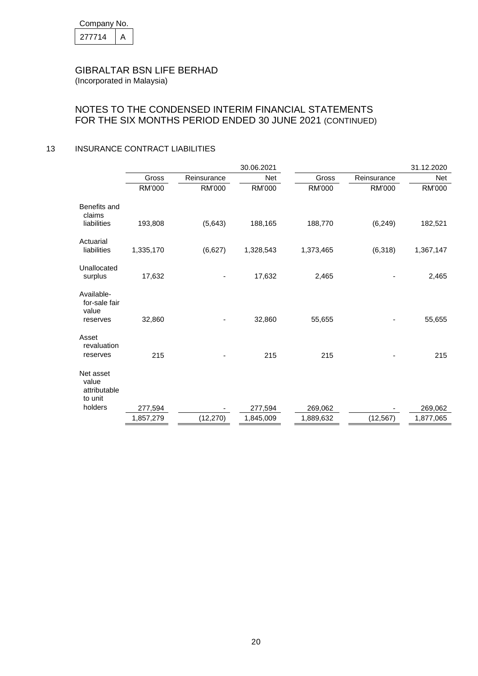| Company No. |  |  |  |  |
|-------------|--|--|--|--|
| 277714      |  |  |  |  |

## NOTES TO THE CONDENSED INTERIM FINANCIAL STATEMENTS FOR THE SIX MONTHS PERIOD ENDED 30 JUNE 2021 (CONTINUED)

### 13 INSURANCE CONTRACT LIABILITIES

|                                               |           |             | 30.06.2021 |           |             | 31.12.2020 |
|-----------------------------------------------|-----------|-------------|------------|-----------|-------------|------------|
|                                               | Gross     | Reinsurance | <b>Net</b> | Gross     | Reinsurance | <b>Net</b> |
|                                               | RM'000    | RM'000      | RM'000     | RM'000    | RM'000      | RM'000     |
| Benefits and<br>claims                        |           |             |            |           |             |            |
| liabilities                                   | 193,808   | (5,643)     | 188,165    | 188,770   | (6, 249)    | 182,521    |
| Actuarial<br>liabilities                      | 1,335,170 | (6,627)     | 1,328,543  | 1,373,465 | (6,318)     | 1,367,147  |
|                                               |           |             |            |           |             |            |
| Unallocated<br>surplus                        | 17,632    |             | 17,632     | 2,465     |             | 2,465      |
| Available-<br>for-sale fair<br>value          |           |             |            |           |             |            |
| reserves                                      | 32,860    |             | 32,860     | 55,655    |             | 55,655     |
| Asset<br>revaluation<br>reserves              | 215       |             | 215        | 215       |             | 215        |
|                                               |           |             |            |           |             |            |
| Net asset<br>value<br>attributable<br>to unit |           |             |            |           |             |            |
| holders                                       | 277,594   |             | 277,594    | 269,062   |             | 269,062    |
|                                               | 1,857,279 | (12, 270)   | 1,845,009  | 1,889,632 | (12, 567)   | 1,877,065  |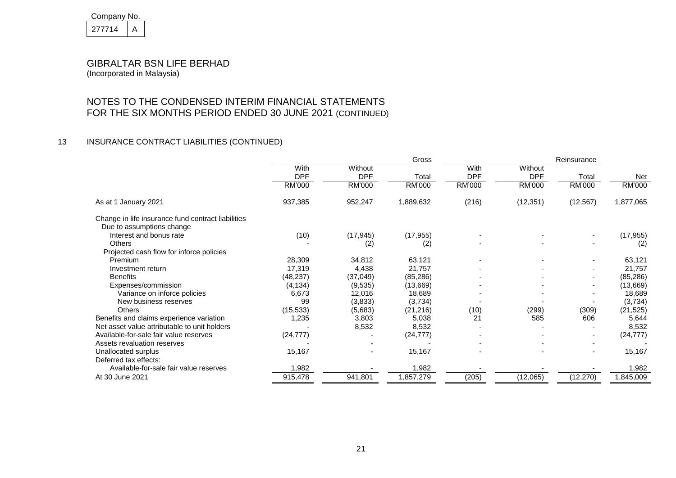| Company No. |  |  |  |
|-------------|--|--|--|
| 277714      |  |  |  |

NOTES TO THE CONDENSED INTERIM FINANCIAL STATEMENTS FOR THE SIX MONTHS PERIOD ENDED 30 JUNE 2021 (CONTINUED)

### 13 INSURANCE CONTRACT LIABILITIES (CONTINUED)

|                                                    | Gross              |                       |           | Reinsurance        |                       |                          |            |
|----------------------------------------------------|--------------------|-----------------------|-----------|--------------------|-----------------------|--------------------------|------------|
|                                                    | With<br><b>DPF</b> | Without<br><b>DPF</b> | Total     | With<br><b>DPF</b> | Without<br><b>DPF</b> | Total                    | <b>Net</b> |
|                                                    | RM'000             | RM'000                | RM'000    | RM'000             | RM'000                | RM'000                   | RM'000     |
| As at 1 January 2021                               | 937,385            | 952,247               | 1,889,632 | (216)              | (12, 351)             | (12, 567)                | 1,877,065  |
| Change in life insurance fund contract liabilities |                    |                       |           |                    |                       |                          |            |
| Due to assumptions change                          |                    |                       |           |                    |                       |                          |            |
| Interest and bonus rate                            | (10)               | (17, 945)             | (17, 955) |                    |                       |                          | (17, 955)  |
| Others                                             |                    | (2)                   | (2)       |                    |                       |                          | (2)        |
| Projected cash flow for inforce policies           |                    |                       |           |                    |                       |                          |            |
| Premium                                            | 28,309             | 34,812                | 63,121    |                    |                       | ٠                        | 63,121     |
| Investment return                                  | 17,319             | 4,438                 | 21,757    |                    |                       |                          | 21,757     |
| <b>Benefits</b>                                    | (48, 237)          | (37, 049)             | (85, 286) |                    |                       |                          | (85, 286)  |
| Expenses/commission                                | (4, 134)           | (9,535)               | (13, 669) |                    |                       |                          | (13,669)   |
| Variance on inforce policies                       | 6,673              | 12,016                | 18,689    |                    |                       |                          | 18,689     |
| New business reserves                              | 99                 | (3,833)               | (3,734)   |                    |                       |                          | (3,734)    |
| <b>Others</b>                                      | (15, 533)          | (5,683)               | (21, 216) | (10)               | (299)                 | (309)                    | (21, 525)  |
| Benefits and claims experience variation           | 1,235              | 3,803                 | 5,038     | 21                 | 585                   | 606                      | 5,644      |
| Net asset value attributable to unit holders       |                    | 8,532                 | 8,532     |                    |                       |                          | 8,532      |
| Available-for-sale fair value reserves             | (24, 777)          |                       | (24, 777) |                    |                       |                          | (24, 777)  |
| Assets revaluation reserves                        |                    |                       |           |                    |                       |                          |            |
| Unallocated surplus                                | 15,167             |                       | 15,167    |                    |                       | $\overline{\phantom{a}}$ | 15,167     |
| Deferred tax effects:                              |                    |                       |           |                    |                       |                          |            |
| Available-for-sale fair value reserves             | 1,982              |                       | 1,982     |                    |                       |                          | 1,982      |
| At 30 June 2021                                    | 915,478            | 941,801               | 1,857,279 | (205)              | (12,065)              | (12, 270)                | 1,845,009  |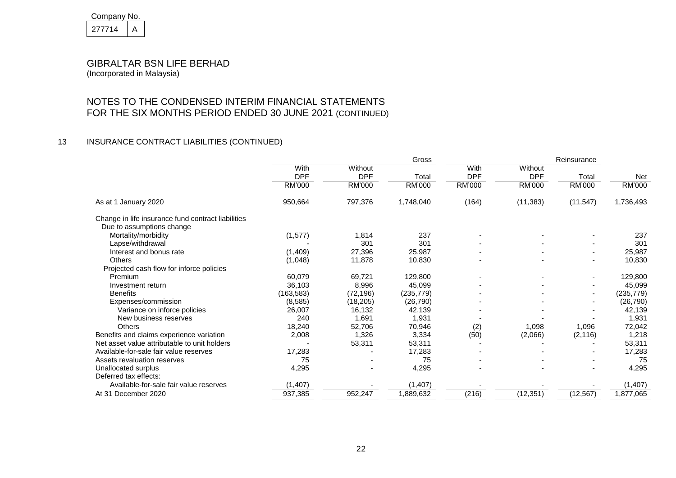| Company No. |  |  |  |
|-------------|--|--|--|
| 277714      |  |  |  |

NOTES TO THE CONDENSED INTERIM FINANCIAL STATEMENTS FOR THE SIX MONTHS PERIOD ENDED 30 JUNE 2021 (CONTINUED)

### 13 INSURANCE CONTRACT LIABILITIES (CONTINUED)

|                                                    | Gross<br>Reinsurance |            |            |            |            |                          |            |
|----------------------------------------------------|----------------------|------------|------------|------------|------------|--------------------------|------------|
|                                                    | With                 | Without    |            | With       | Without    |                          |            |
|                                                    | <b>DPF</b>           | <b>DPF</b> | Total      | <b>DPF</b> | <b>DPF</b> | Total                    | Net        |
|                                                    | RM'000               | RM'000     | RM'000     | RM'000     | RM'000     | RM'000                   | RM'000     |
| As at 1 January 2020                               | 950,664              | 797,376    | 1,748,040  | (164)      | (11, 383)  | (11, 547)                | 1,736,493  |
| Change in life insurance fund contract liabilities |                      |            |            |            |            |                          |            |
| Due to assumptions change                          |                      |            |            |            |            |                          |            |
| Mortality/morbidity                                | (1, 577)             | 1,814      | 237        |            |            |                          | 237        |
| Lapse/withdrawal                                   |                      | 301        | 301        |            |            |                          | 301        |
| Interest and bonus rate                            | (1,409)              | 27,396     | 25,987     |            |            |                          | 25,987     |
| <b>Others</b>                                      | (1,048)              | 11,878     | 10,830     |            |            | $\overline{\phantom{a}}$ | 10,830     |
| Projected cash flow for inforce policies           |                      |            |            |            |            |                          |            |
| Premium                                            | 60,079               | 69,721     | 129,800    |            |            |                          | 129,800    |
| Investment return                                  | 36,103               | 8,996      | 45,099     |            |            |                          | 45,099     |
| <b>Benefits</b>                                    | (163, 583)           | (72, 196)  | (235, 779) |            |            |                          | (235, 779) |
| Expenses/commission                                | (8,585)              | (18, 205)  | (26, 790)  |            |            |                          | (26, 790)  |
| Variance on inforce policies                       | 26,007               | 16,132     | 42,139     |            |            |                          | 42,139     |
| New business reserves                              | 240                  | 1,691      | 1,931      |            |            |                          | 1,931      |
| <b>Others</b>                                      | 18,240               | 52,706     | 70,946     | (2)        | 1,098      | 1,096                    | 72,042     |
| Benefits and claims experience variation           | 2,008                | 1,326      | 3,334      | (50)       | (2,066)    | (2, 116)                 | 1,218      |
| Net asset value attributable to unit holders       |                      | 53,311     | 53,311     |            |            |                          | 53,311     |
| Available-for-sale fair value reserves             | 17,283               |            | 17,283     |            |            |                          | 17,283     |
| Assets revaluation reserves                        | 75                   |            | 75         |            |            |                          | 75         |
| Unallocated surplus                                | 4,295                |            | 4,295      |            |            |                          | 4,295      |
| Deferred tax effects:                              |                      |            |            |            |            |                          |            |
| Available-for-sale fair value reserves             | (1, 407)             |            | (1, 407)   |            |            |                          | (1, 407)   |
| At 31 December 2020                                | 937,385              | 952,247    | 1,889,632  | (216)      | (12, 351)  | (12, 567)                | 1,877,065  |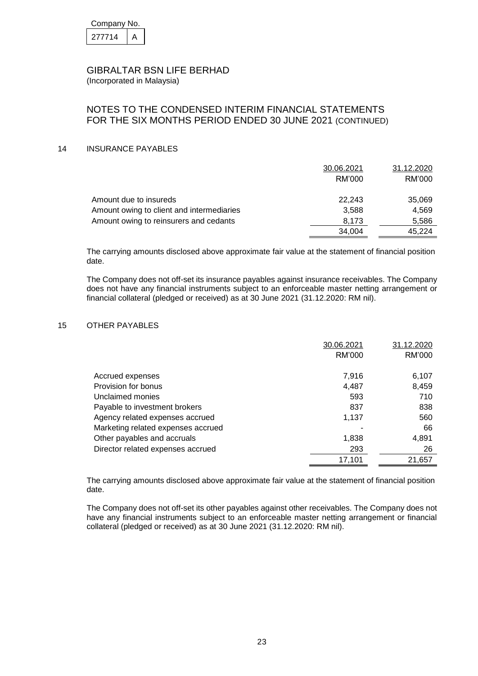| Company No. |  |  |  |  |
|-------------|--|--|--|--|
| 277714      |  |  |  |  |

### NOTES TO THE CONDENSED INTERIM FINANCIAL STATEMENTS FOR THE SIX MONTHS PERIOD ENDED 30 JUNE 2021 (CONTINUED)

#### 14 INSURANCE PAYABLES

|                                           | 30.06.2021 | 31.12.2020 |
|-------------------------------------------|------------|------------|
|                                           | RM'000     | RM'000     |
| Amount due to insureds                    | 22.243     | 35,069     |
| Amount owing to client and intermediaries | 3.588      | 4.569      |
| Amount owing to reinsurers and cedants    | 8.173      | 5,586      |
|                                           | 34,004     | 45.224     |

The carrying amounts disclosed above approximate fair value at the statement of financial position date.

The Company does not off-set its insurance payables against insurance receivables. The Company does not have any financial instruments subject to an enforceable master netting arrangement or financial collateral (pledged or received) as at 30 June 2021 (31.12.2020: RM nil).

#### 15 OTHER PAYABLES

|                                    | 30.06.2021 | 31.12.2020 |
|------------------------------------|------------|------------|
|                                    | RM'000     | RM'000     |
|                                    |            |            |
| Accrued expenses                   | 7,916      | 6,107      |
| Provision for bonus                | 4,487      | 8,459      |
| Unclaimed monies                   | 593        | 710        |
| Payable to investment brokers      | 837        | 838        |
| Agency related expenses accrued    | 1,137      | 560        |
| Marketing related expenses accrued |            | 66         |
| Other payables and accruals        | 1,838      | 4,891      |
| Director related expenses accrued  | 293        | 26         |
|                                    | 17,101     | 21,657     |

The carrying amounts disclosed above approximate fair value at the statement of financial position date.

The Company does not off-set its other payables against other receivables. The Company does not have any financial instruments subject to an enforceable master netting arrangement or financial collateral (pledged or received) as at 30 June 2021 (31.12.2020: RM nil).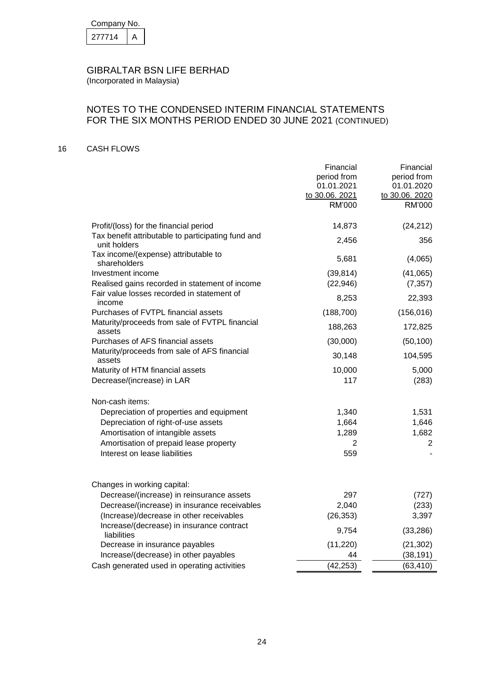| Company No. |  |
|-------------|--|
| 277714      |  |

## NOTES TO THE CONDENSED INTERIM FINANCIAL STATEMENTS FOR THE SIX MONTHS PERIOD ENDED 30 JUNE 2021 (CONTINUED)

### 16 CASH FLOWS

|                                                                    | Financial<br>period from<br>01.01.2021<br>to 30.06. 2021<br>RM'000 | Financial<br>period from<br>01.01.2020<br>to 30.06. 2020<br>RM'000 |
|--------------------------------------------------------------------|--------------------------------------------------------------------|--------------------------------------------------------------------|
| Profit/(loss) for the financial period                             | 14,873                                                             | (24, 212)                                                          |
| Tax benefit attributable to participating fund and<br>unit holders | 2,456                                                              | 356                                                                |
| Tax income/(expense) attributable to<br>shareholders               | 5,681                                                              | (4,065)                                                            |
| Investment income                                                  | (39, 814)                                                          | (41,065)                                                           |
| Realised gains recorded in statement of income                     | (22, 946)                                                          | (7, 357)                                                           |
| Fair value losses recorded in statement of<br>income               | 8,253                                                              | 22,393                                                             |
| Purchases of FVTPL financial assets                                | (188, 700)                                                         | (156, 016)                                                         |
| Maturity/proceeds from sale of FVTPL financial<br>assets           | 188,263                                                            | 172,825                                                            |
| Purchases of AFS financial assets                                  | (30,000)                                                           | (50, 100)                                                          |
| Maturity/proceeds from sale of AFS financial<br>assets             | 30,148                                                             | 104,595                                                            |
| Maturity of HTM financial assets                                   | 10,000                                                             | 5,000                                                              |
| Decrease/(increase) in LAR                                         | 117                                                                | (283)                                                              |
| Non-cash items:                                                    |                                                                    |                                                                    |
| Depreciation of properties and equipment                           | 1,340                                                              | 1,531                                                              |
| Depreciation of right-of-use assets                                | 1,664                                                              | 1,646                                                              |
| Amortisation of intangible assets                                  | 1,289                                                              | 1,682                                                              |
| Amortisation of prepaid lease property                             | 2                                                                  | 2                                                                  |
| Interest on lease liabilities                                      | 559                                                                |                                                                    |
| Changes in working capital:                                        |                                                                    |                                                                    |
| Decrease/(increase) in reinsurance assets                          | 297                                                                | (727)                                                              |
| Decrease/(increase) in insurance receivables                       | 2,040                                                              | (233)                                                              |
| (Increase)/decrease in other receivables                           | (26, 353)                                                          | 3,397                                                              |
| Increase/(decrease) in insurance contract<br>liabilities           | 9,754                                                              | (33, 286)                                                          |
| Decrease in insurance payables                                     | (11, 220)                                                          | (21, 302)                                                          |
| Increase/(decrease) in other payables                              | 44                                                                 | (38, 191)                                                          |
| Cash generated used in operating activities                        | (42, 253)                                                          | (63, 410)                                                          |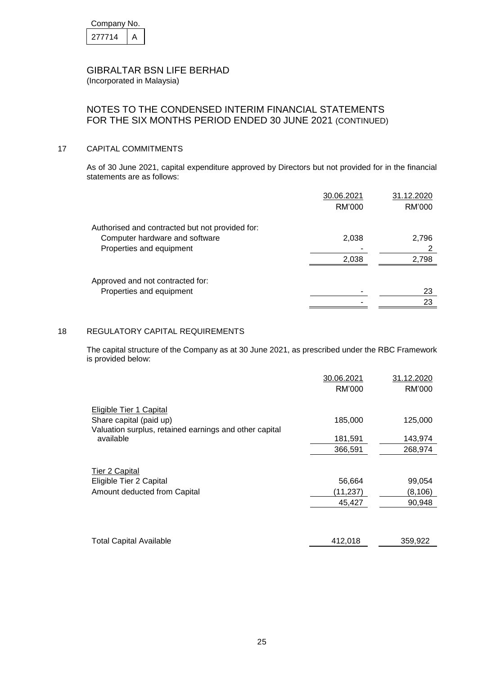| Company No. |  |
|-------------|--|
| 277714      |  |

### NOTES TO THE CONDENSED INTERIM FINANCIAL STATEMENTS FOR THE SIX MONTHS PERIOD ENDED 30 JUNE 2021 (CONTINUED)

#### 17 CAPITAL COMMITMENTS

As of 30 June 2021, capital expenditure approved by Directors but not provided for in the financial statements are as follows:

|                                                 | 30.06.2021 | 31.12.2020 |
|-------------------------------------------------|------------|------------|
|                                                 | RM'000     | RM'000     |
| Authorised and contracted but not provided for: |            |            |
| Computer hardware and software                  | 2,038      | 2,796      |
| Properties and equipment                        |            |            |
|                                                 | 2,038      | 2,798      |
|                                                 |            |            |
| Approved and not contracted for:                |            |            |
| Properties and equipment                        |            | 23         |
|                                                 |            | 23         |

### 18 REGULATORY CAPITAL REQUIREMENTS

The capital structure of the Company as at 30 June 2021, as prescribed under the RBC Framework is provided below:

|                                                        | 30.06.2021 | 31.12.2020 |
|--------------------------------------------------------|------------|------------|
|                                                        | RM'000     | RM'000     |
| Eligible Tier 1 Capital                                |            |            |
| Share capital (paid up)                                | 185,000    | 125,000    |
| Valuation surplus, retained earnings and other capital |            |            |
| available                                              | 181,591    | 143,974    |
|                                                        | 366,591    | 268,974    |
|                                                        |            |            |
| <b>Tier 2 Capital</b>                                  |            |            |
| Eligible Tier 2 Capital                                | 56,664     | 99,054     |
| Amount deducted from Capital                           | (11,237)   | (8, 106)   |
|                                                        | 45,427     | 90,948     |
|                                                        |            |            |
| <b>Total Capital Available</b>                         | 412,018    | 359,922    |
|                                                        |            |            |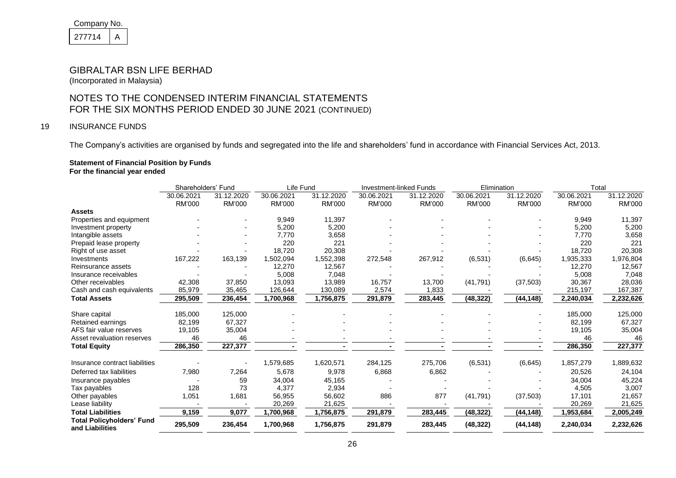| Company No. |  |
|-------------|--|
| 277714      |  |

(Incorporated in Malaysia)

## NOTES TO THE CONDENSED INTERIM FINANCIAL STATEMENTS FOR THE SIX MONTHS PERIOD ENDED 30 JUNE 2021 (CONTINUED)

### 19 INSURANCE FUNDS

The Company's activities are organised by funds and segregated into the life and shareholders' fund in accordance with Financial Services Act, 2013.

#### **Statement of Financial Position by Funds For the financial year ended**

|                                                     | Shareholders' Fund   |                      | Life Fund            |                      | <b>Investment-linked Funds</b> |                      | Elimination          |                      | Total                |                      |
|-----------------------------------------------------|----------------------|----------------------|----------------------|----------------------|--------------------------------|----------------------|----------------------|----------------------|----------------------|----------------------|
|                                                     | 30.06.2021<br>RM'000 | 31.12.2020<br>RM'000 | 30.06.2021<br>RM'000 | 31.12.2020<br>RM'000 | 30.06.2021<br><b>RM'000</b>    | 31.12.2020<br>RM'000 | 30.06.2021<br>RM'000 | 31.12.2020<br>RM'000 | 30.06.2021<br>RM'000 | 31.12.2020<br>RM'000 |
| <b>Assets</b>                                       |                      |                      |                      |                      |                                |                      |                      |                      |                      |                      |
| Properties and equipment                            |                      |                      | 9,949                | 11,397               |                                |                      |                      |                      | 9,949                | 11,397               |
| Investment property                                 |                      |                      | 5,200                | 5,200                |                                |                      |                      |                      | 5,200                | 5,200                |
| Intangible assets                                   |                      |                      | 7,770                | 3,658                |                                |                      |                      |                      | 7,770                | 3,658                |
| Prepaid lease property                              |                      |                      | 220                  | 221                  |                                |                      |                      |                      | 220                  | 221                  |
| Right of use asset                                  |                      |                      | 18,720               | 20,308               |                                |                      |                      |                      | 18,720               | 20,308               |
| Investments                                         | 167,222              | 163,139              | 1,502,094            | 1,552,398            | 272,548                        | 267,912              | (6, 531)             | (6, 645)             | 1,935,333            | 1,976,804            |
| Reinsurance assets                                  |                      |                      | 12,270               | 12,567               |                                |                      |                      |                      | 12,270               | 12,567               |
| Insurance receivables                               |                      |                      | 5,008                | 7,048                |                                |                      |                      |                      | 5,008                | 7,048                |
| Other receivables                                   | 42,308               | 37,850               | 13,093               | 13,989               | 16,757                         | 13,700               | (41, 791)            | (37, 503)            | 30,367               | 28,036               |
| Cash and cash equivalents                           | 85,979               | 35,465               | 126,644              | 130,089              | 2,574                          | 1,833                |                      |                      | 215,197              | 167,387              |
| <b>Total Assets</b>                                 | 295,509              | 236,454              | 1,700,968            | 1,756,875            | 291,879                        | 283,445              | (48, 322)            | (44, 148)            | 2,240,034            | 2,232,626            |
| Share capital                                       | 185,000              | 125,000              |                      |                      |                                |                      |                      |                      | 185,000              | 125,000              |
| Retained earnings                                   | 82,199               | 67,327               |                      |                      |                                |                      |                      |                      | 82,199               | 67,327               |
| AFS fair value reserves                             | 19,105               | 35,004               |                      |                      |                                |                      |                      |                      | 19,105               | 35,004               |
| Asset revaluation reserves                          | 46                   | 46                   |                      |                      |                                |                      |                      |                      | 46                   | 46                   |
| <b>Total Equity</b>                                 | 286,350              | 227,377              |                      |                      |                                |                      |                      |                      | 286,350              | 227,377              |
| Insurance contract liabilities                      |                      |                      | 1,579,685            | 1,620,571            | 284,125                        | 275,706              | (6, 531)             | (6, 645)             | 1,857,279            | 1,889,632            |
| Deferred tax liabilities                            | 7,980                | 7,264                | 5,678                | 9,978                | 6,868                          | 6,862                |                      |                      | 20,526               | 24,104               |
| Insurance payables                                  |                      | 59                   | 34,004               | 45,165               |                                |                      |                      |                      | 34,004               | 45,224               |
| Tax payables                                        | 128                  | 73                   | 4,377                | 2,934                |                                |                      |                      |                      | 4,505                | 3,007                |
| Other payables                                      | 1,051                | 1,681                | 56,955               | 56,602               | 886                            | 877                  | (41, 791)            | (37, 503)            | 17,101               | 21,657               |
| Lease liability                                     |                      |                      | 20,269               | 21,625               |                                |                      |                      |                      | 20,269               | 21,625               |
| <b>Total Liabilities</b>                            | 9,159                | 9,077                | 1,700,968            | 1,756,875            | 291,879                        | 283,445              | (48, 322)            | (44, 148)            | 1,953,684            | 2,005,249            |
| <b>Total Policyholders' Fund</b><br>and Liabilities | 295,509              | 236,454              | 1,700,968            | 1,756,875            | 291,879                        | 283,445              | (48, 322)            | (44, 148)            | 2,240,034            | 2,232,626            |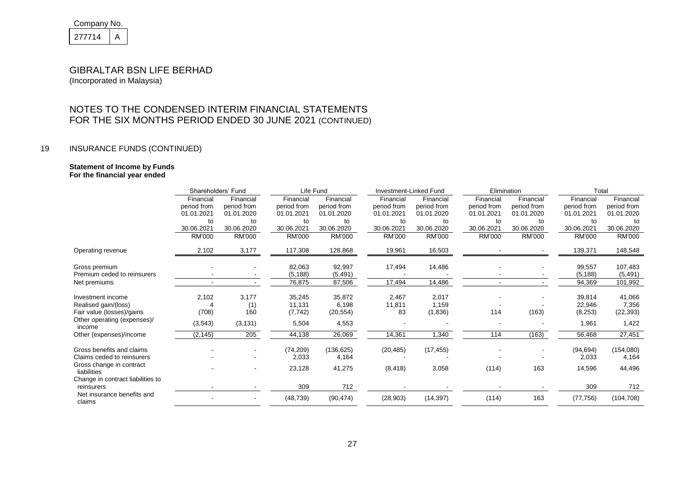| Company No. |  |
|-------------|--|
| 277714      |  |

(Incorporated in Malaysia)

## NOTES TO THE CONDENSED INTERIM FINANCIAL STATEMENTS FOR THE SIX MONTHS PERIOD ENDED 30 JUNE 2021 (CONTINUED)

### 19 INSURANCE FUNDS (CONTINUED)

#### **Statement of Income by Funds For the financial year ended**

|                                         | Shareholders' Fund |             |             | Life Fund   |             | Investment-Linked Fund |             | Elimination |             | Total       |  |
|-----------------------------------------|--------------------|-------------|-------------|-------------|-------------|------------------------|-------------|-------------|-------------|-------------|--|
|                                         | Financial          | Financial   | Financial   | Financial   | Financial   | Financial              | Financial   | Financial   | Financial   | Financial   |  |
|                                         | period from        | period from | period from | period from | period from | period from            | period from | period from | period from | period from |  |
|                                         | 01.01.2021         | 01.01.2020  | 01.01.2021  | 01.01.2020  | 01.01.2021  | 01.01.2020             | 01.01.2021  | 01.01.2020  | 01.01.2021  | 01.01.2020  |  |
|                                         | to                 | to          | to          | to          | to          | to                     | to          | to          | to          | to          |  |
|                                         | 30.06.2021         | 30.06.2020  | 30.06.2021  | 30.06.2020  | 30.06.2021  | 30.06.2020             | 30.06.2021  | 30.06.2020  | 30.06.2021  | 30.06.2020  |  |
|                                         | RM'000             | RM'000      | RM'000      | RM'000      | RM'000      | RM'000                 | RM'000      | RM'000      | RM'000      | RM'000      |  |
| Operating revenue                       | 2,102              | 3,177       | 117,308     | 128,868     | 19,961      | 16,503                 |             |             | 139,371     | 148,548     |  |
| Gross premium                           |                    |             | 82,063      | 92,997      | 17,494      | 14,486                 |             |             | 99,557      | 107,483     |  |
| Premium ceded to reinsurers             |                    |             | (5, 188)    | (5, 491)    |             |                        |             |             | (5, 188)    | (5, 491)    |  |
| Net premiums                            |                    |             | 76,875      | 87,506      | 17,494      | 14,486                 |             |             | 94,369      | 101,992     |  |
| Investment income                       | 2,102              | 3,177       | 35,245      | 35,872      | 2,467       | 2,017                  |             |             | 39,814      | 41,066      |  |
| Realised gain/(loss)                    |                    | (1)         | 11,131      | 6,198       | 11,811      | 1,159                  |             |             | 22,946      | 7,356       |  |
| Fair value (losses)/gains               | (708)              | 160         | (7, 742)    | (20, 554)   | 83          | (1,836)                | 114         | (163)       | (8, 253)    | (22, 393)   |  |
| Other operating (expenses)/<br>income   | (3, 543)           | (3, 131)    | 5,504       | 4,553       |             |                        |             |             | 1,961       | 1,422       |  |
| Other (expenses)/income                 | (2, 145)           | 205         | 44,138      | 26,069      | 14,361      | 1,340                  | 114         | (163)       | 56,468      | 27,451      |  |
| Gross benefits and claims               |                    |             | (74, 209)   | (136, 625)  | (20, 485)   | (17, 455)              |             |             | (94, 694)   | (154,080)   |  |
| Claims ceded to reinsurers              |                    |             | 2,033       | 4,164       |             |                        |             |             | 2,033       | 4,164       |  |
| Gross change in contract<br>liabilities |                    |             | 23,128      | 41,275      | (8, 418)    | 3,058                  | (114)       | 163         | 14,596      | 44,496      |  |
| Change in contract liabilities to       |                    |             |             |             |             |                        |             |             |             |             |  |
| reinsurers                              |                    |             | 309         | 712         |             |                        |             |             | 309         | 712         |  |
| Net insurance benefits and<br>claims    |                    |             | (48, 739)   | (90, 474)   | (28, 903)   | (14, 397)              | (114)       | 163         | (77, 756)   | (104, 708)  |  |
|                                         |                    |             |             |             |             |                        |             |             |             |             |  |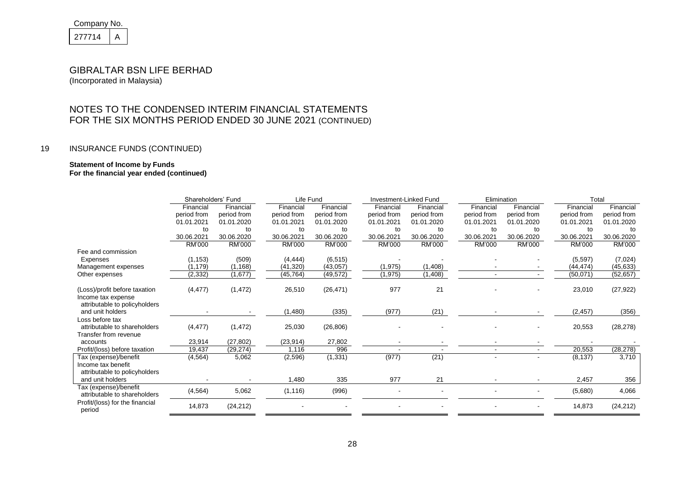| Company No. |  |
|-------------|--|
| 277714      |  |

(Incorporated in Malaysia)

## NOTES TO THE CONDENSED INTERIM FINANCIAL STATEMENTS FOR THE SIX MONTHS PERIOD ENDED 30 JUNE 2021 (CONTINUED)

### 19 INSURANCE FUNDS (CONTINUED)

#### **Statement of Income by Funds For the financial year ended (continued)**

|                                 | Shareholders' Fund |               | Life Fund   |               |               | Investment-Linked Fund |               | Elimination                  |             | Total       |  |
|---------------------------------|--------------------|---------------|-------------|---------------|---------------|------------------------|---------------|------------------------------|-------------|-------------|--|
|                                 | Financial          | Financial     | Financial   | Financial     | Financial     | Financial              | Financial     | Financial                    | Financial   | Financial   |  |
|                                 | period from        | period from   | period from | period from   | period from   | period from            | period from   | period from                  | period from | period from |  |
|                                 | 01.01.2021         | 01.01.2020    | 01.01.2021  | 01.01.2020    | 01.01.2021    | 01.01.2020             | 01.01.2021    | 01.01.2020                   | 01.01.2021  | 01.01.2020  |  |
|                                 | to                 | to            | to          | to            | to            | to                     | to            | to                           | to          | to          |  |
|                                 | 30.06.2021         | 30.06.2020    | 30.06.2021  | 30.06.2020    | 30.06.2021    | 30.06.2020             | 30.06.2021    | 30.06.2020                   | 30.06.2021  | 30.06.2020  |  |
|                                 | RM'000             | <b>RM'000</b> | RM'000      | <b>RM'000</b> | <b>RM'000</b> | <b>RM'000</b>          | <b>RM'000</b> | <b>RM'000</b>                | RM'000      | RM'000      |  |
| Fee and commission              |                    |               |             |               |               |                        |               |                              |             |             |  |
| Expenses                        | (1, 153)           | (509)         | (4, 444)    | (6, 515)      |               |                        |               |                              | (5, 597)    | (7,024)     |  |
| Management expenses             | (1, 179)           | (1, 168)      | (41, 320)   | (43,057)      | (1, 975)      | (1,408)                |               |                              | (44, 474)   | (45, 633)   |  |
| Other expenses                  | (2, 332)           | (1,677)       | (45, 764)   | (49, 572)     | (1, 975)      | (1, 408)               |               |                              | (50,071)    | (52, 657)   |  |
|                                 |                    |               |             |               |               |                        |               |                              |             |             |  |
| (Loss)/profit before taxation   | (4, 477)           | (1, 472)      | 26,510      | (26, 471)     | 977           | 21                     |               |                              | 23,010      | (27, 922)   |  |
| Income tax expense              |                    |               |             |               |               |                        |               |                              |             |             |  |
| attributable to policyholders   |                    |               |             |               |               |                        |               |                              |             |             |  |
| and unit holders                |                    |               | (1,480)     | (335)         | (977)         | (21)                   |               |                              | (2, 457)    | (356)       |  |
| Loss before tax                 |                    |               |             |               |               |                        |               |                              |             |             |  |
| attributable to shareholders    | (4, 477)           | (1, 472)      | 25,030      | (26, 806)     |               |                        |               |                              | 20,553      | (28, 278)   |  |
| Transfer from revenue           |                    |               |             |               |               |                        |               |                              |             |             |  |
| accounts                        | 23,914             | (27, 802)     | (23, 914)   | 27,802        |               |                        |               |                              |             |             |  |
| Profit/(loss) before taxation   | 19,437             | (29, 274)     | 1,116       | 996           |               |                        |               | $\sim$                       | 20,553      | (28, 278)   |  |
| Tax (expense)/benefit           | (4, 564)           | 5,062         | (2, 596)    | (1, 331)      | (977)         | (21)                   |               | $\blacksquare$               | (8, 137)    | 3,710       |  |
| Income tax benefit              |                    |               |             |               |               |                        |               |                              |             |             |  |
| attributable to policyholders   |                    |               |             |               |               |                        |               |                              |             |             |  |
| and unit holders                |                    |               | 1,480       | 335           | 977           | 21                     |               |                              | 2,457       | 356         |  |
| Tax (expense)/benefit           | (4, 564)           | 5,062         | (1, 116)    | (996)         |               |                        |               | $\qquad \qquad \blacksquare$ | (5,680)     | 4,066       |  |
| attributable to shareholders    |                    |               |             |               |               |                        |               |                              |             |             |  |
| Profit/(loss) for the financial | 14,873             | (24, 212)     |             |               |               |                        |               |                              | 14,873      | (24, 212)   |  |
| period                          |                    |               |             |               |               |                        |               |                              |             |             |  |